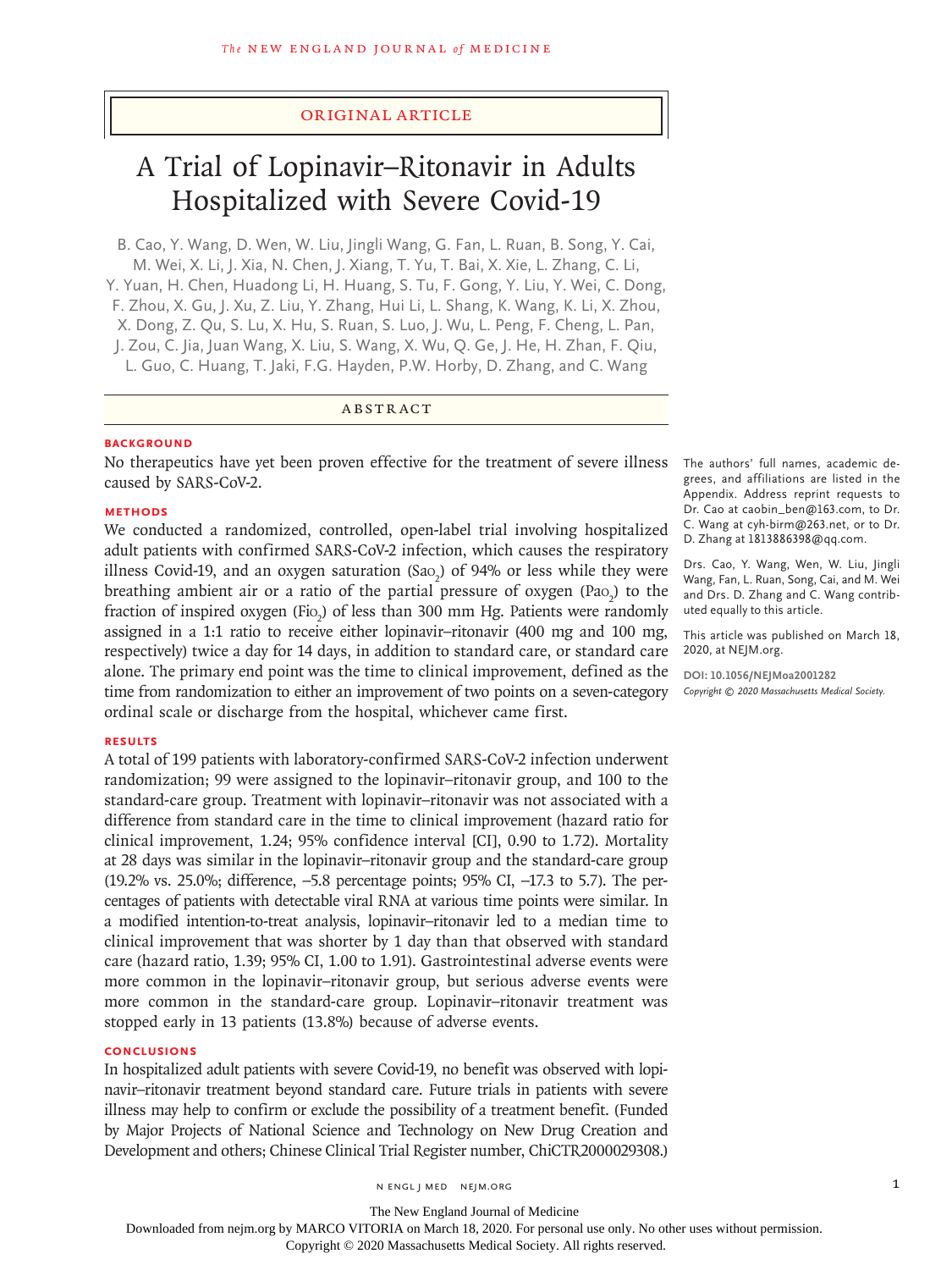# Original Article

# A Trial of Lopinavir–Ritonavir in Adults Hospitalized with Severe Covid-19

B. Cao, Y. Wang, D. Wen, W. Liu, Jingli Wang, G. Fan, L. Ruan, B. Song, Y. Cai, M. Wei, X. Li, J. Xia, N. Chen, J. Xiang, T. Yu, T. Bai, X. Xie, L. Zhang, C. Li, Y. Yuan, H. Chen, Huadong Li, H. Huang, S. Tu, F. Gong, Y. Liu, Y. Wei, C. Dong, F. Zhou, X. Gu, J. Xu, Z. Liu, Y. Zhang, Hui Li, L. Shang, K. Wang, K. Li, X. Zhou, X. Dong, Z. Qu, S. Lu, X. Hu, S. Ruan, S. Luo, J. Wu, L. Peng, F. Cheng, L. Pan, J. Zou, C. Jia, Juan Wang, X. Liu, S. Wang, X. Wu, Q. Ge, J. He, H. Zhan, F. Qiu, L. Guo, C. Huang, T. Jaki, F.G. Hayden, P.W. Horby, D. Zhang, and C. Wang

# ABSTRACT

# **BACKGROUND**

No therapeutics have yet been proven effective for the treatment of severe illness The authors' full names, academic decaused by SARS-CoV-2.

#### **METHODS**

We conducted a randomized, controlled, open-label trial involving hospitalized adult patients with confirmed SARS-CoV-2 infection, which causes the respiratory illness Covid-19, and an oxygen saturation  $(Sao<sub>2</sub>)$  of 94% or less while they were breathing ambient air or a ratio of the partial pressure of oxygen  $(Pao_2)$  to the fraction of inspired oxygen (Fio<sub>2</sub>) of less than 300 mm Hg. Patients were randomly assigned in a 1:1 ratio to receive either lopinavir–ritonavir (400 mg and 100 mg, respectively) twice a day for 14 days, in addition to standard care, or standard care alone. The primary end point was the time to clinical improvement, defined as the time from randomization to either an improvement of two points on a seven-category ordinal scale or discharge from the hospital, whichever came first.

# grees, and affiliations are listed in the Appendix. Address reprint requests to Dr. Cao at caobin\_ben@163.com, to Dr. C. Wang at cyh-birm@263.net, or to Dr. D. Zhang at 1813886398@qq.com.

Drs. Cao, Y. Wang, Wen, W. Liu, Jingli Wang, Fan, L. Ruan, Song, Cai, and M. Wei and Drs. D. Zhang and C. Wang contributed equally to this article.

This article was published on March 18, 2020, at NEJM.org.

**DOI: 10.1056/NEJMoa2001282** *Copyright © 2020 Massachusetts Medical Society.*

#### **RESULTS**

A total of 199 patients with laboratory-confirmed SARS-CoV-2 infection underwent randomization; 99 were assigned to the lopinavir–ritonavir group, and 100 to the standard-care group. Treatment with lopinavir–ritonavir was not associated with a difference from standard care in the time to clinical improvement (hazard ratio for clinical improvement, 1.24; 95% confidence interval [CI], 0.90 to 1.72). Mortality at 28 days was similar in the lopinavir–ritonavir group and the standard-care group (19.2% vs. 25.0%; difference, −5.8 percentage points; 95% CI, −17.3 to 5.7). The percentages of patients with detectable viral RNA at various time points were similar. In a modified intention-to-treat analysis, lopinavir–ritonavir led to a median time to clinical improvement that was shorter by 1 day than that observed with standard care (hazard ratio, 1.39; 95% CI, 1.00 to 1.91). Gastrointestinal adverse events were more common in the lopinavir–ritonavir group, but serious adverse events were more common in the standard-care group. Lopinavir–ritonavir treatment was stopped early in 13 patients (13.8%) because of adverse events.

## **CONCLUSIONS**

In hospitalized adult patients with severe Covid-19, no benefit was observed with lopinavir–ritonavir treatment beyond standard care. Future trials in patients with severe illness may help to confirm or exclude the possibility of a treatment benefit. (Funded by Major Projects of National Science and Technology on New Drug Creation and Development and others; Chinese Clinical Trial Register number, ChiCTR2000029308.)

n engl j med nejm.org 1

The New England Journal of Medicine

Downloaded from nejm.org by MARCO VITORIA on March 18, 2020. For personal use only. No other uses without permission.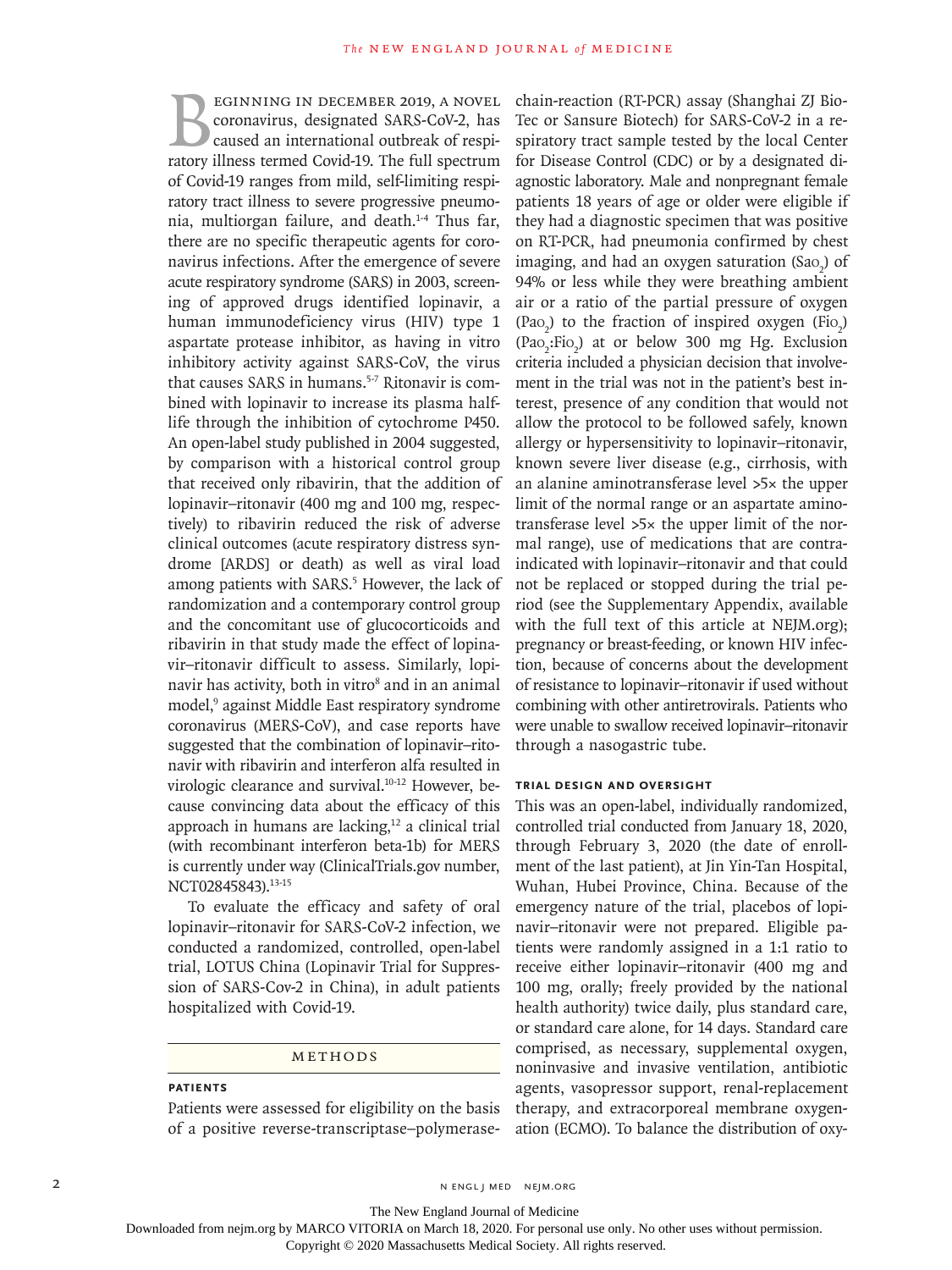BEGINNING IN DECEMBER 2019, A NOVEL<br>
coronavirus, designated SARS-CoV-2, has<br>
caused an international outbreak of respiratory<br>
ratory illness termed Covid-19. The full spectrum coronavirus, designated SARS-CoV-2, has caused an international outbreak of respiratory illness termed Covid-19. The full spectrum of Covid-19 ranges from mild, self-limiting respiratory tract illness to severe progressive pneumonia, multiorgan failure, and death.<sup>1-4</sup> Thus far, there are no specific therapeutic agents for coronavirus infections. After the emergence of severe acute respiratory syndrome (SARS) in 2003, screening of approved drugs identified lopinavir, a human immunodeficiency virus (HIV) type 1 aspartate protease inhibitor, as having in vitro inhibitory activity against SARS-CoV, the virus that causes SARS in humans.5-7 Ritonavir is combined with lopinavir to increase its plasma halflife through the inhibition of cytochrome P450. An open-label study published in 2004 suggested, by comparison with a historical control group that received only ribavirin, that the addition of lopinavir–ritonavir (400 mg and 100 mg, respectively) to ribavirin reduced the risk of adverse clinical outcomes (acute respiratory distress syndrome [ARDS] or death) as well as viral load among patients with SARS.<sup>5</sup> However, the lack of randomization and a contemporary control group and the concomitant use of glucocorticoids and ribavirin in that study made the effect of lopinavir–ritonavir difficult to assess. Similarly, lopinavir has activity, both in vitro<sup>8</sup> and in an animal model,9 against Middle East respiratory syndrome coronavirus (MERS-CoV), and case reports have suggested that the combination of lopinavir–ritonavir with ribavirin and interferon alfa resulted in virologic clearance and survival.<sup>10-12</sup> However, because convincing data about the efficacy of this approach in humans are lacking, $12$  a clinical trial (with recombinant interferon beta-1b) for MERS is currently under way (ClinicalTrials.gov number, NCT02845843).<sup>13-15</sup>

To evaluate the efficacy and safety of oral lopinavir–ritonavir for SARS-CoV-2 infection, we conducted a randomized, controlled, open-label trial, LOTUS China (Lopinavir Trial for Suppression of SARS-Cov-2 in China), in adult patients hospitalized with Covid-19.

## Methods

# **Patients**

Patients were assessed for eligibility on the basis of a positive reverse-transcriptase–polymerasechain-reaction (RT-PCR) assay (Shanghai ZJ Bio-Tec or Sansure Biotech) for SARS-CoV-2 in a respiratory tract sample tested by the local Center for Disease Control (CDC) or by a designated diagnostic laboratory. Male and nonpregnant female patients 18 years of age or older were eligible if they had a diagnostic specimen that was positive on RT-PCR, had pneumonia confirmed by chest imaging, and had an oxygen saturation (Sao<sub>2</sub>) of 94% or less while they were breathing ambient air or a ratio of the partial pressure of oxygen (Pao<sub>2</sub>) to the fraction of inspired oxygen (Fio<sub>2</sub>) (Pao<sub>2</sub>:Fio<sub>2</sub>) at or below 300 mg Hg. Exclusion criteria included a physician decision that involvement in the trial was not in the patient's best interest, presence of any condition that would not allow the protocol to be followed safely, known allergy or hypersensitivity to lopinavir–ritonavir, known severe liver disease (e.g., cirrhosis, with an alanine aminotransferase level >5× the upper limit of the normal range or an aspartate aminotransferase level >5× the upper limit of the normal range), use of medications that are contraindicated with lopinavir–ritonavir and that could not be replaced or stopped during the trial period (see the Supplementary Appendix, available with the full text of this article at NEJM.org); pregnancy or breast-feeding, or known HIV infection, because of concerns about the development of resistance to lopinavir–ritonavir if used without combining with other antiretrovirals. Patients who were unable to swallow received lopinavir–ritonavir through a nasogastric tube.

# **Trial Design and Oversight**

This was an open-label, individually randomized, controlled trial conducted from January 18, 2020, through February 3, 2020 (the date of enrollment of the last patient), at Jin Yin-Tan Hospital, Wuhan, Hubei Province, China. Because of the emergency nature of the trial, placebos of lopinavir–ritonavir were not prepared. Eligible patients were randomly assigned in a 1:1 ratio to receive either lopinavir–ritonavir (400 mg and 100 mg, orally; freely provided by the national health authority) twice daily, plus standard care, or standard care alone, for 14 days. Standard care comprised, as necessary, supplemental oxygen, noninvasive and invasive ventilation, antibiotic agents, vasopressor support, renal-replacement therapy, and extracorporeal membrane oxygenation (ECMO). To balance the distribution of oxy-

The New England Journal of Medicine Downloaded from nejm.org by MARCO VITORIA on March 18, 2020. For personal use only. No other uses without permission.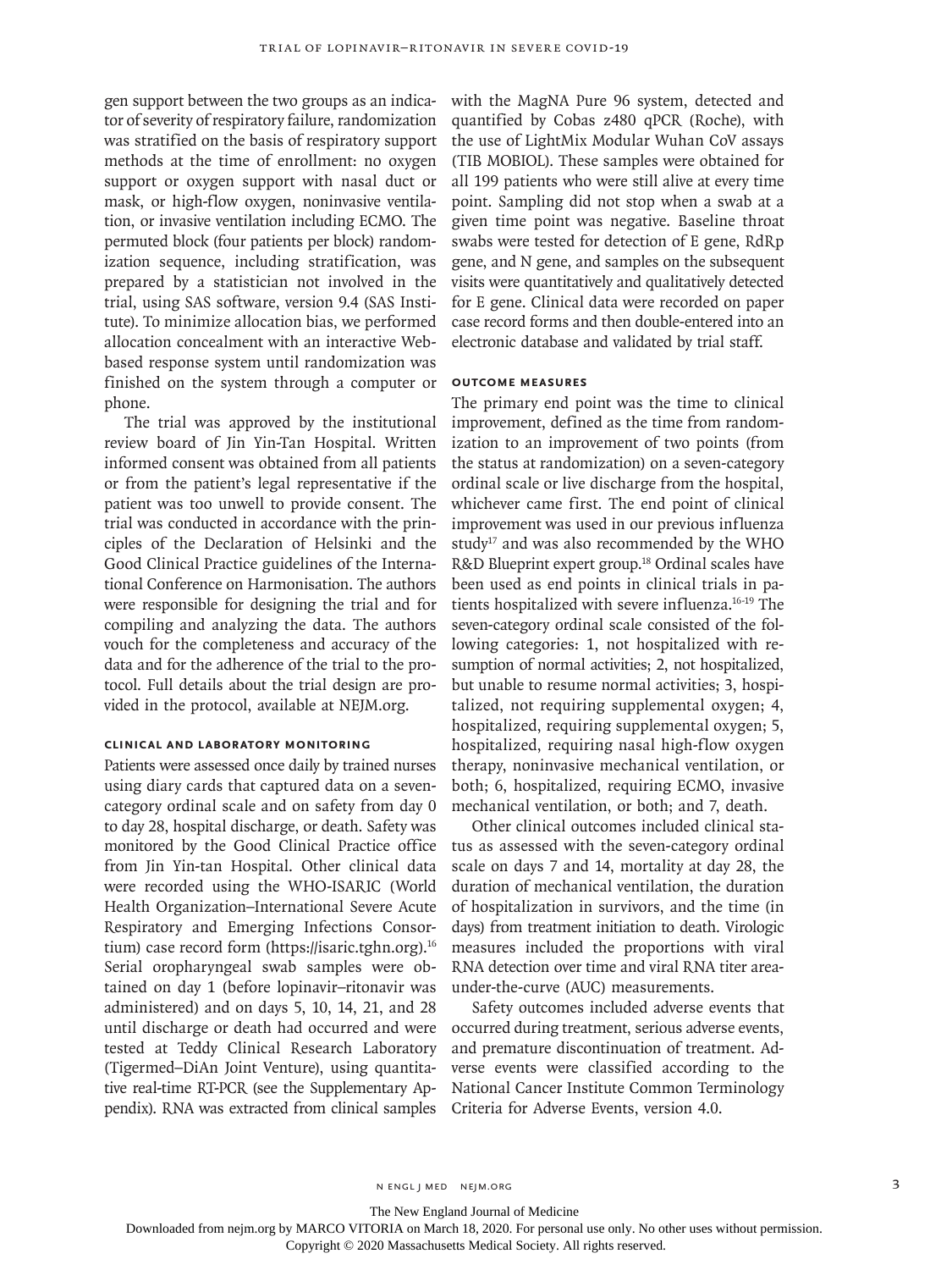gen support between the two groups as an indicator of severity of respiratory failure, randomization was stratified on the basis of respiratory support methods at the time of enrollment: no oxygen support or oxygen support with nasal duct or mask, or high-flow oxygen, noninvasive ventilation, or invasive ventilation including ECMO. The permuted block (four patients per block) randomization sequence, including stratification, was prepared by a statistician not involved in the trial, using SAS software, version 9.4 (SAS Institute). To minimize allocation bias, we performed allocation concealment with an interactive Webbased response system until randomization was finished on the system through a computer or phone.

The trial was approved by the institutional review board of Jin Yin-Tan Hospital. Written informed consent was obtained from all patients or from the patient's legal representative if the patient was too unwell to provide consent. The trial was conducted in accordance with the principles of the Declaration of Helsinki and the Good Clinical Practice guidelines of the International Conference on Harmonisation. The authors were responsible for designing the trial and for compiling and analyzing the data. The authors vouch for the completeness and accuracy of the data and for the adherence of the trial to the protocol. Full details about the trial design are provided in the protocol, available at NEJM.org.

## **Clinical and Laboratory Monitoring**

Patients were assessed once daily by trained nurses using diary cards that captured data on a sevencategory ordinal scale and on safety from day 0 to day 28, hospital discharge, or death. Safety was monitored by the Good Clinical Practice office from Jin Yin-tan Hospital. Other clinical data were recorded using the WHO-ISARIC (World Health Organization–International Severe Acute Respiratory and Emerging Infections Consortium) case record form (https://isaric.tghn.org).<sup>16</sup> Serial oropharyngeal swab samples were obtained on day 1 (before lopinavir–ritonavir was administered) and on days 5, 10, 14, 21, and 28 until discharge or death had occurred and were tested at Teddy Clinical Research Laboratory (Tigermed–DiAn Joint Venture), using quantitative real-time RT-PCR (see the Supplementary Appendix). RNA was extracted from clinical samples with the MagNA Pure 96 system, detected and quantified by Cobas z480 qPCR (Roche), with the use of LightMix Modular Wuhan CoV assays (TIB MOBIOL). These samples were obtained for all 199 patients who were still alive at every time point. Sampling did not stop when a swab at a given time point was negative. Baseline throat swabs were tested for detection of E gene, RdRp gene, and N gene, and samples on the subsequent visits were quantitatively and qualitatively detected for E gene. Clinical data were recorded on paper case record forms and then double-entered into an electronic database and validated by trial staff.

# **Outcome Measures**

The primary end point was the time to clinical improvement, defined as the time from randomization to an improvement of two points (from the status at randomization) on a seven-category ordinal scale or live discharge from the hospital, whichever came first. The end point of clinical improvement was used in our previous influenza study<sup>17</sup> and was also recommended by the WHO R&D Blueprint expert group.<sup>18</sup> Ordinal scales have been used as end points in clinical trials in patients hospitalized with severe influenza.16-19 The seven-category ordinal scale consisted of the following categories: 1, not hospitalized with resumption of normal activities; 2, not hospitalized, but unable to resume normal activities; 3, hospitalized, not requiring supplemental oxygen; 4, hospitalized, requiring supplemental oxygen; 5, hospitalized, requiring nasal high-flow oxygen therapy, noninvasive mechanical ventilation, or both; 6, hospitalized, requiring ECMO, invasive mechanical ventilation, or both; and 7, death.

Other clinical outcomes included clinical status as assessed with the seven-category ordinal scale on days 7 and 14, mortality at day 28, the duration of mechanical ventilation, the duration of hospitalization in survivors, and the time (in days) from treatment initiation to death. Virologic measures included the proportions with viral RNA detection over time and viral RNA titer areaunder-the-curve (AUC) measurements.

Safety outcomes included adverse events that occurred during treatment, serious adverse events, and premature discontinuation of treatment. Adverse events were classified according to the National Cancer Institute Common Terminology Criteria for Adverse Events, version 4.0.

n engl j med nejm.org 3

The New England Journal of Medicine

Downloaded from nejm.org by MARCO VITORIA on March 18, 2020. For personal use only. No other uses without permission.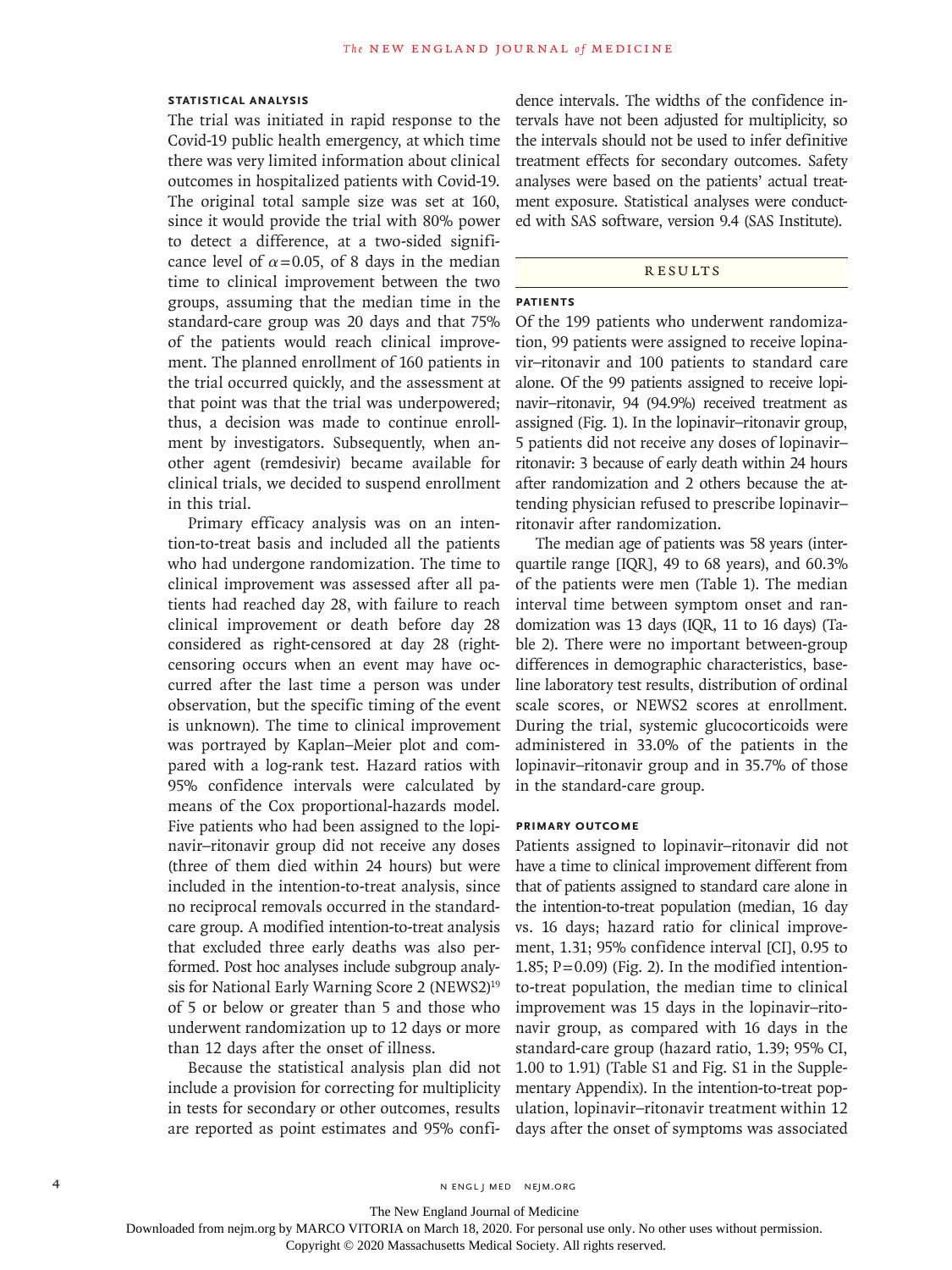#### **Statistical Analysis**

The trial was initiated in rapid response to the Covid-19 public health emergency, at which time there was very limited information about clinical outcomes in hospitalized patients with Covid-19. The original total sample size was set at 160, since it would provide the trial with 80% power to detect a difference, at a two-sided significance level of  $\alpha$ =0.05, of 8 days in the median time to clinical improvement between the two groups, assuming that the median time in the standard-care group was 20 days and that 75% of the patients would reach clinical improvement. The planned enrollment of 160 patients in the trial occurred quickly, and the assessment at that point was that the trial was underpowered; thus, a decision was made to continue enrollment by investigators. Subsequently, when another agent (remdesivir) became available for clinical trials, we decided to suspend enrollment in this trial.

Primary efficacy analysis was on an intention-to-treat basis and included all the patients who had undergone randomization. The time to clinical improvement was assessed after all patients had reached day 28, with failure to reach clinical improvement or death before day 28 considered as right-censored at day 28 (rightcensoring occurs when an event may have occurred after the last time a person was under observation, but the specific timing of the event is unknown). The time to clinical improvement was portrayed by Kaplan–Meier plot and compared with a log-rank test. Hazard ratios with 95% confidence intervals were calculated by means of the Cox proportional-hazards model. Five patients who had been assigned to the lopinavir–ritonavir group did not receive any doses (three of them died within 24 hours) but were included in the intention-to-treat analysis, since no reciprocal removals occurred in the standardcare group. A modified intention-to-treat analysis that excluded three early deaths was also performed. Post hoc analyses include subgroup analysis for National Early Warning Score 2 (NEWS2)<sup>19</sup> of 5 or below or greater than 5 and those who underwent randomization up to 12 days or more than 12 days after the onset of illness.

Because the statistical analysis plan did not include a provision for correcting for multiplicity in tests for secondary or other outcomes, results are reported as point estimates and 95% confidence intervals. The widths of the confidence intervals have not been adjusted for multiplicity, so the intervals should not be used to infer definitive treatment effects for secondary outcomes. Safety analyses were based on the patients' actual treatment exposure. Statistical analyses were conducted with SAS software, version 9.4 (SAS Institute).

# Results

# **Patients**

Of the 199 patients who underwent randomization, 99 patients were assigned to receive lopinavir–ritonavir and 100 patients to standard care alone. Of the 99 patients assigned to receive lopinavir–ritonavir, 94 (94.9%) received treatment as assigned (Fig. 1). In the lopinavir–ritonavir group, 5 patients did not receive any doses of lopinavir– ritonavir: 3 because of early death within 24 hours after randomization and 2 others because the attending physician refused to prescribe lopinavir– ritonavir after randomization.

The median age of patients was 58 years (interquartile range [IQR], 49 to 68 years), and 60.3% of the patients were men (Table 1). The median interval time between symptom onset and randomization was 13 days (IQR, 11 to 16 days) (Table 2). There were no important between-group differences in demographic characteristics, baseline laboratory test results, distribution of ordinal scale scores, or NEWS2 scores at enrollment. During the trial, systemic glucocorticoids were administered in 33.0% of the patients in the lopinavir–ritonavir group and in 35.7% of those in the standard-care group.

#### **Primary Outcome**

Patients assigned to lopinavir–ritonavir did not have a time to clinical improvement different from that of patients assigned to standard care alone in the intention-to-treat population (median, 16 day vs. 16 days; hazard ratio for clinical improvement, 1.31; 95% confidence interval [CI], 0.95 to 1.85;  $P=0.09$ ) (Fig. 2). In the modified intentionto-treat population, the median time to clinical improvement was 15 days in the lopinavir–ritonavir group, as compared with 16 days in the standard-care group (hazard ratio, 1.39; 95% CI, 1.00 to 1.91) (Table S1 and Fig. S1 in the Supplementary Appendix). In the intention-to-treat population, lopinavir–ritonavir treatment within 12 days after the onset of symptoms was associated

The New England Journal of Medicine

Downloaded from nejm.org by MARCO VITORIA on March 18, 2020. For personal use only. No other uses without permission.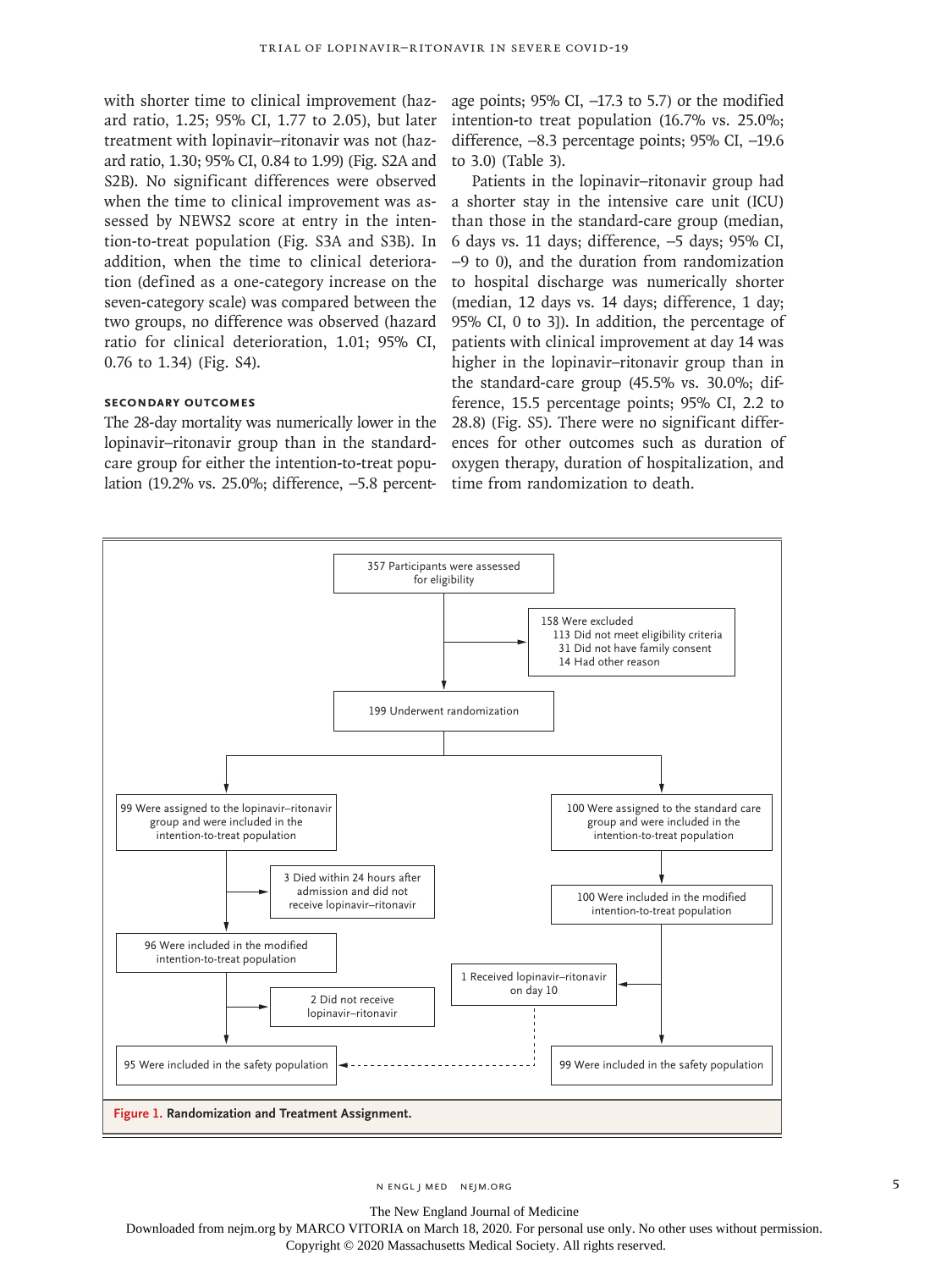with shorter time to clinical improvement (hazard ratio, 1.25; 95% CI, 1.77 to 2.05), but later treatment with lopinavir–ritonavir was not (hazard ratio, 1.30; 95% CI, 0.84 to 1.99) (Fig. S2A and S2B). No significant differences were observed when the time to clinical improvement was assessed by NEWS2 score at entry in the intention-to-treat population (Fig. S3A and S3B). In addition, when the time to clinical deterioration (defined as a one-category increase on the seven-category scale) was compared between the two groups, no difference was observed (hazard ratio for clinical deterioration, 1.01; 95% CI, 0.76 to 1.34) (Fig. S4).

# **Secondary Outcomes**

The 28-day mortality was numerically lower in the lopinavir–ritonavir group than in the standardcare group for either the intention-to-treat population (19.2% vs. 25.0%; difference, −5.8 percentage points; 95% CI, −17.3 to 5.7) or the modified intention-to treat population (16.7% vs. 25.0%; difference, −8.3 percentage points; 95% CI, −19.6 to 3.0) (Table 3).

Patients in the lopinavir–ritonavir group had a shorter stay in the intensive care unit (ICU) than those in the standard-care group (median, 6 days vs. 11 days; difference, −5 days; 95% CI, −9 to 0), and the duration from randomization to hospital discharge was numerically shorter (median, 12 days vs. 14 days; difference, 1 day; 95% CI, 0 to 3]). In addition, the percentage of patients with clinical improvement at day 14 was higher in the lopinavir–ritonavir group than in the standard-care group (45.5% vs. 30.0%; difference, 15.5 percentage points; 95% CI, 2.2 to 28.8) (Fig. S5). There were no significant differences for other outcomes such as duration of oxygen therapy, duration of hospitalization, and time from randomization to death.



The New England Journal of Medicine

Downloaded from nejm.org by MARCO VITORIA on March 18, 2020. For personal use only. No other uses without permission.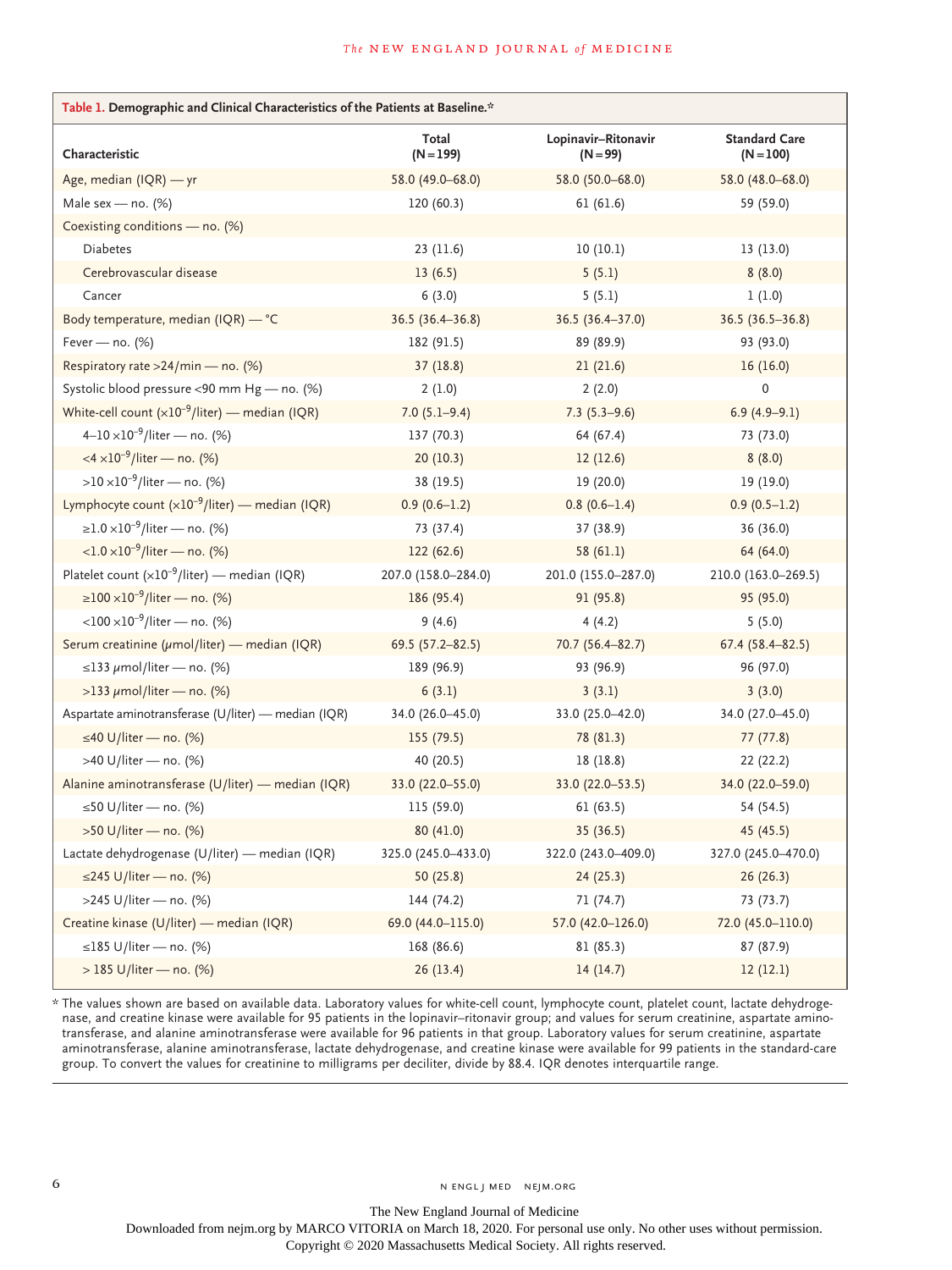## **The NEW ENGLAND JOURNAL of MEDICINE**

| Table 1. Demographic and Clinical Characteristics of the Patients at Baseline.* |                      |                                   |                                     |  |  |
|---------------------------------------------------------------------------------|----------------------|-----------------------------------|-------------------------------------|--|--|
| Characteristic                                                                  | Total<br>$(N = 199)$ | Lopinavir-Ritonavir<br>$(N = 99)$ | <b>Standard Care</b><br>$(N = 100)$ |  |  |
| Age, median (IQR) - yr                                                          | 58.0 (49.0-68.0)     | 58.0 (50.0-68.0)                  | 58.0 (48.0-68.0)                    |  |  |
| Male sex - no. $(%)$                                                            | 120(60.3)            | 61(61.6)                          | 59 (59.0)                           |  |  |
| Coexisting conditions - no. (%)                                                 |                      |                                   |                                     |  |  |
| <b>Diabetes</b>                                                                 | 23(11.6)             | 10(10.1)                          | 13(13.0)                            |  |  |
| Cerebrovascular disease                                                         | 13(6.5)              | 5(5.1)                            | 8(8.0)                              |  |  |
| Cancer                                                                          | 6(3.0)               | 5(5.1)                            | 1(1.0)                              |  |  |
| Body temperature, median (IQR) - °C                                             | $36.5(36.4 - 36.8)$  | 36.5 (36.4-37.0)                  | $36.5(36.5-36.8)$                   |  |  |
| Fever - no. $(\%)$                                                              | 182 (91.5)           | 89 (89.9)                         | 93 (93.0)                           |  |  |
| Respiratory rate > 24/min - no. (%)                                             | 37(18.8)             | 21(21.6)                          | 16(16.0)                            |  |  |
| Systolic blood pressure <90 mm Hg - no. (%)                                     | 2(1.0)               | 2(2.0)                            | 0                                   |  |  |
| White-cell count $(x10^{-9}/$ liter) — median (IQR)                             | $7.0(5.1-9.4)$       | $7.3(5.3-9.6)$                    | $6.9(4.9-9.1)$                      |  |  |
| $4-10 \times 10^{-9}$ /liter — no. (%)                                          | 137 (70.3)           | 64 (67.4)                         | 73 (73.0)                           |  |  |
| <4 $\times$ 10 <sup>-9</sup> /liter — no. (%)                                   | 20(10.3)             | 12(12.6)                          | 8(8.0)                              |  |  |
| > $10 \times 10^{-9}$ /liter — no. (%)                                          | 38 (19.5)            | 19 (20.0)                         | 19(19.0)                            |  |  |
| Lymphocyte count $(x10^{-9}/$ liter) — median (IQR)                             | $0.9(0.6-1.2)$       | $0.8(0.6-1.4)$                    | $0.9(0.5-1.2)$                      |  |  |
| ≥1.0×10 <sup>-9</sup> /liter — no. (%)                                          | 73 (37.4)            | 37 (38.9)                         | 36 (36.0)                           |  |  |
| $<$ 1.0 $\times$ 10 <sup>-9</sup> /liter — no. (%)                              | 122(62.6)            | 58 (61.1)                         | 64 (64.0)                           |  |  |
| Platelet count $(x10^{-9}/$ liter) — median (IQR)                               | 207.0 (158.0-284.0)  | 201.0 (155.0-287.0)               | 210.0 (163.0-269.5)                 |  |  |
| ≥100 ×10 <sup>-9</sup> /liter — no. (%)                                         | 186 (95.4)           | 91 (95.8)                         | 95 (95.0)                           |  |  |
| $<$ 100 $\times$ 10 <sup>-9</sup> /liter — no. (%)                              | 9(4.6)               | 4(4.2)                            | 5(5.0)                              |  |  |
| Serum creatinine (µmol/liter) — median (IQR)                                    | 69.5 (57.2-82.5)     | 70.7 (56.4-82.7)                  | $67.4(58.4 - 82.5)$                 |  |  |
| $\leq$ 133 µmol/liter — no. (%)                                                 | 189 (96.9)           | 93 (96.9)                         | 96 (97.0)                           |  |  |
| >133 $\mu$ mol/liter — no. (%)                                                  | 6(3.1)               | 3(3.1)                            | 3(3.0)                              |  |  |
| Aspartate aminotransferase (U/liter) — median (IQR)                             | 34.0 (26.0-45.0)     | 33.0 (25.0-42.0)                  | 34.0 (27.0-45.0)                    |  |  |
| $\leq$ 40 U/liter — no. (%)                                                     | 155 (79.5)           | 78 (81.3)                         | 77 (77.8)                           |  |  |
| >40 U/liter - no. (%)                                                           | 40 (20.5)            | 18 (18.8)                         | 22(22.2)                            |  |  |
| Alanine aminotransferase (U/liter) — median (IQR)                               | 33.0 (22.0-55.0)     | 33.0 (22.0-53.5)                  | 34.0 (22.0-59.0)                    |  |  |
| $\leq$ 50 U/liter — no. (%)                                                     | 115 (59.0)           | 61(63.5)                          | 54 (54.5)                           |  |  |
| >50 U/liter - no. (%)                                                           | 80 (41.0)            | 35(36.5)                          | 45 (45.5)                           |  |  |
| Lactate dehydrogenase (U/liter) - median (IQR)                                  | 325.0 (245.0-433.0)  | 322.0 (243.0-409.0)               | 327.0 (245.0-470.0)                 |  |  |
| ≤245 U/liter — no. (%)                                                          | 50 (25.8)            | 24(25.3)                          | 26(26.3)                            |  |  |
| >245 U/liter - no. (%)                                                          | 144 (74.2)           | 71 (74.7)                         | 73 (73.7)                           |  |  |
| Creatine kinase (U/liter) — median (IQR)                                        | 69.0 (44.0-115.0)    | 57.0 (42.0-126.0)                 | 72.0 (45.0-110.0)                   |  |  |
| $\leq$ 185 U/liter — no. (%)                                                    | 168 (86.6)           | 81 (85.3)                         | 87 (87.9)                           |  |  |
| > 185 U/liter - no. (%)                                                         | 26(13.4)             | 14(14.7)                          | 12(12.1)                            |  |  |

\* The values shown are based on available data. Laboratory values for white-cell count, lymphocyte count, platelet count, lactate dehydrogenase, and creatine kinase were available for 95 patients in the lopinavir–ritonavir group; and values for serum creatinine, aspartate aminotransferase, and alanine aminotransferase were available for 96 patients in that group. Laboratory values for serum creatinine, aspartate aminotransferase, alanine aminotransferase, lactate dehydrogenase, and creatine kinase were available for 99 patients in the standard-care group. To convert the values for creatinine to milligrams per deciliter, divide by 88.4. IQR denotes interquartile range.

The New England Journal of Medicine

Downloaded from nejm.org by MARCO VITORIA on March 18, 2020. For personal use only. No other uses without permission.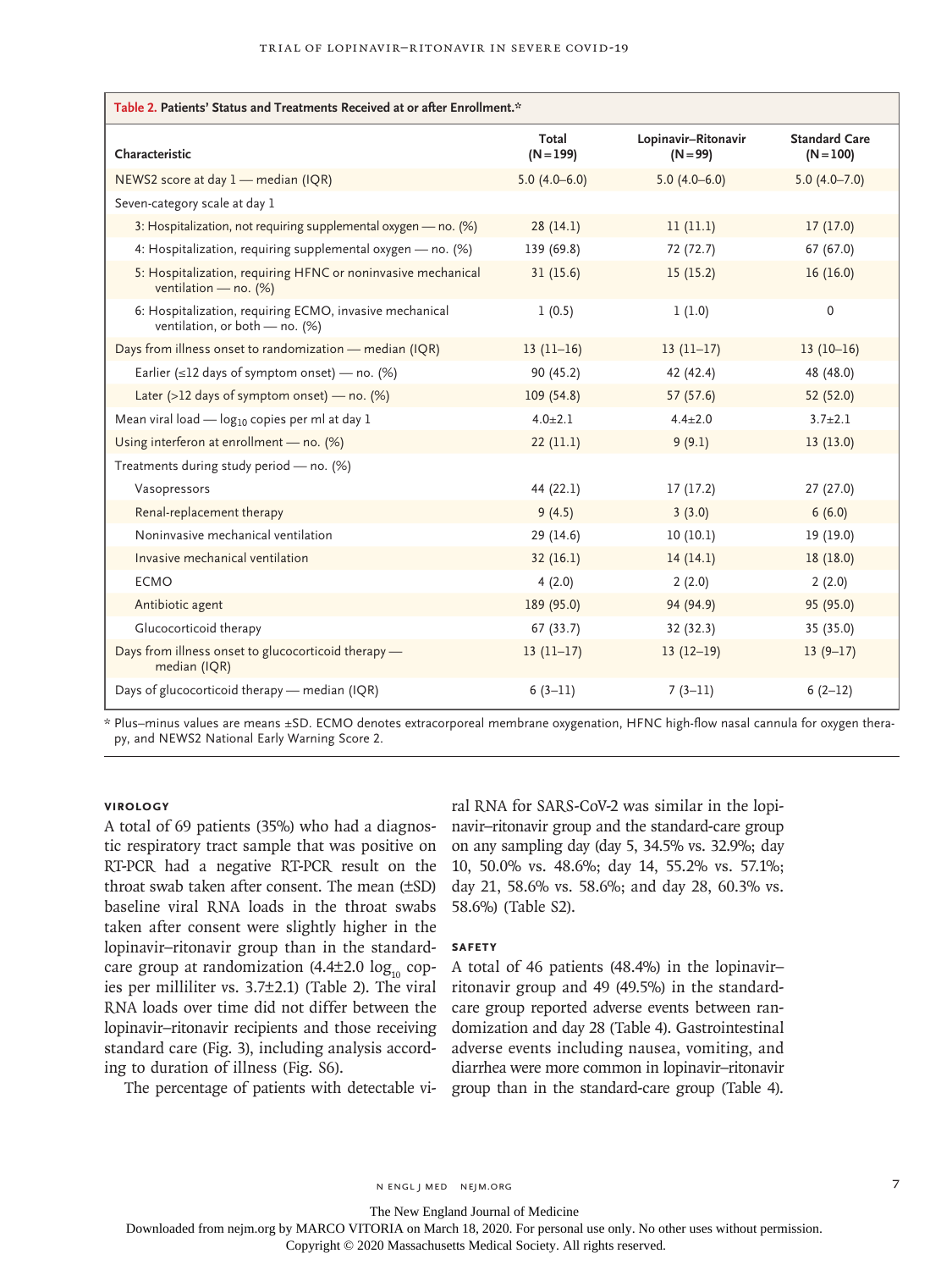| Table 2. Patients' Status and Treatments Received at or after Enrollment.*                |                      |                                   |                                     |  |  |  |
|-------------------------------------------------------------------------------------------|----------------------|-----------------------------------|-------------------------------------|--|--|--|
| Characteristic                                                                            | Total<br>$(N = 199)$ | Lopinavir-Ritonavir<br>$(N = 99)$ | <b>Standard Care</b><br>$(N = 100)$ |  |  |  |
| NEWS2 score at day 1 - median (IQR)                                                       | $5.0(4.0-6.0)$       | $5.0(4.0-6.0)$                    | $5.0(4.0 - 7.0)$                    |  |  |  |
| Seven-category scale at day 1                                                             |                      |                                   |                                     |  |  |  |
| 3: Hospitalization, not requiring supplemental oxygen - no. (%)                           | 28(14.1)             | 11(11.1)                          | 17(17.0)                            |  |  |  |
| 4: Hospitalization, requiring supplemental oxygen - no. (%)                               | 139 (69.8)           | 72 (72.7)                         | 67 (67.0)                           |  |  |  |
| 5: Hospitalization, requiring HFNC or noninvasive mechanical<br>ventilation - no. (%)     | 31(15.6)             | 15(15.2)                          | 16(16.0)                            |  |  |  |
| 6: Hospitalization, requiring ECMO, invasive mechanical<br>ventilation, or both - no. (%) | 1(0.5)               | 1(1.0)                            | $\mathbf 0$                         |  |  |  |
| Days from illness onset to randomization - median (IQR)                                   | $13(11-16)$          | $13(11-17)$                       | $13(10-16)$                         |  |  |  |
| Earlier ( $\leq$ 12 days of symptom onset) — no. (%)                                      | 90 (45.2)            | 42 (42.4)                         | 48 (48.0)                           |  |  |  |
| Later (>12 days of symptom onset) — no. (%)                                               | 109(54.8)            | 57(57.6)                          | 52 (52.0)                           |  |  |  |
| Mean viral load $-$ log <sub>10</sub> copies per ml at day 1                              | $4.0 \pm 2.1$        | $4.4 \pm 2.0$                     | $3.7 + 2.1$                         |  |  |  |
| Using interferon at enrollment - no. (%)                                                  | 22(11.1)             | 9(9.1)                            | 13(13.0)                            |  |  |  |
| Treatments during study period - no. (%)                                                  |                      |                                   |                                     |  |  |  |
| Vasopressors                                                                              | 44 (22.1)            | 17(17.2)                          | 27(27.0)                            |  |  |  |
| Renal-replacement therapy                                                                 | 9(4.5)               | 3(3.0)                            | 6(6.0)                              |  |  |  |
| Noninvasive mechanical ventilation                                                        | 29 (14.6)            | 10(10.1)                          | 19 (19.0)                           |  |  |  |
| Invasive mechanical ventilation                                                           | 32(16.1)             | 14(14.1)                          | 18 (18.0)                           |  |  |  |
| <b>ECMO</b>                                                                               | 4(2.0)               | 2(2.0)                            | 2(2.0)                              |  |  |  |
| Antibiotic agent                                                                          | 189 (95.0)           | 94 (94.9)                         | 95 (95.0)                           |  |  |  |
| Glucocorticoid therapy                                                                    | 67(33.7)             | 32(32.3)                          | 35 (35.0)                           |  |  |  |
| Days from illness onset to glucocorticoid therapy -<br>median (IQR)                       | $13(11-17)$          | $13(12-19)$                       | $13(9-17)$                          |  |  |  |
| Days of glucocorticoid therapy — median (IQR)                                             | $6(3-11)$            | $7(3-11)$                         | $6(2-12)$                           |  |  |  |

\* Plus–minus values are means ±SD. ECMO denotes extracorporeal membrane oxygenation, HFNC high-flow nasal cannula for oxygen therapy, and NEWS2 National Early Warning Score 2.

# **Virology**

A total of 69 patients (35%) who had a diagnostic respiratory tract sample that was positive on RT-PCR had a negative RT-PCR result on the throat swab taken after consent. The mean (±SD) baseline viral RNA loads in the throat swabs taken after consent were slightly higher in the lopinavir–ritonavir group than in the standardcare group at randomization  $(4.4\pm2.0 \text{ log}_{10} \text{ cop}$ ies per milliliter vs. 3.7±2.1) (Table 2). The viral RNA loads over time did not differ between the lopinavir–ritonavir recipients and those receiving standard care (Fig. 3), including analysis according to duration of illness (Fig. S6).

The percentage of patients with detectable vi-

ral RNA for SARS-CoV-2 was similar in the lopinavir–ritonavir group and the standard-care group on any sampling day (day 5, 34.5% vs. 32.9%; day 10, 50.0% vs. 48.6%; day 14, 55.2% vs. 57.1%; day 21, 58.6% vs. 58.6%; and day 28, 60.3% vs. 58.6%) (Table S2).

#### **Safety**

A total of 46 patients (48.4%) in the lopinavir– ritonavir group and 49 (49.5%) in the standardcare group reported adverse events between randomization and day 28 (Table 4). Gastrointestinal adverse events including nausea, vomiting, and diarrhea were more common in lopinavir–ritonavir group than in the standard-care group (Table 4).

The New England Journal of Medicine

Downloaded from nejm.org by MARCO VITORIA on March 18, 2020. For personal use only. No other uses without permission.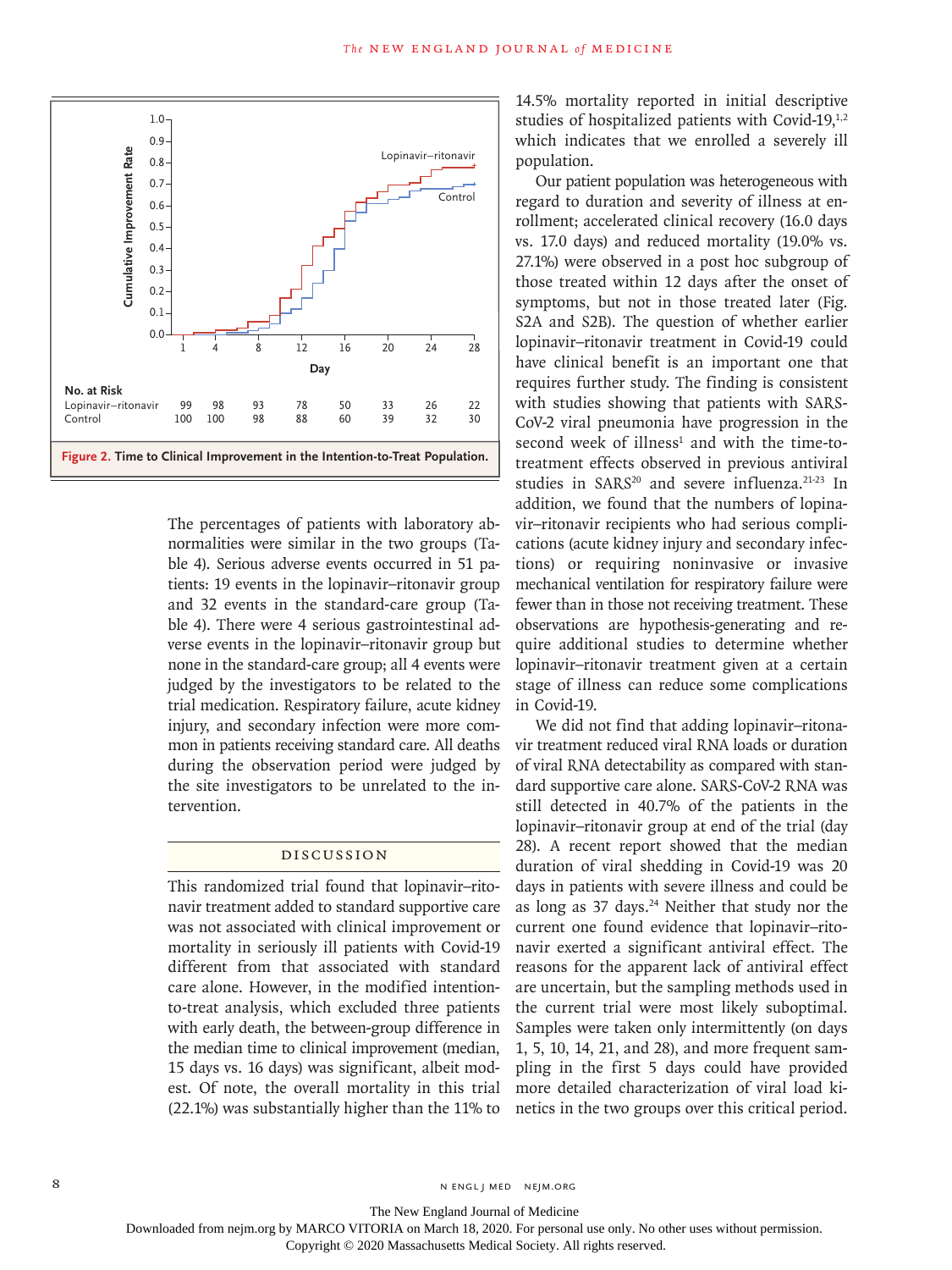

The percentages of patients with laboratory abnormalities were similar in the two groups (Table 4). Serious adverse events occurred in 51 patients: 19 events in the lopinavir–ritonavir group and 32 events in the standard-care group (Table 4). There were 4 serious gastrointestinal adverse events in the lopinavir–ritonavir group but none in the standard-care group; all 4 events were judged by the investigators to be related to the trial medication. Respiratory failure, acute kidney injury, and secondary infection were more common in patients receiving standard care. All deaths during the observation period were judged by the site investigators to be unrelated to the intervention.

## Discussion

This randomized trial found that lopinavir–ritonavir treatment added to standard supportive care was not associated with clinical improvement or mortality in seriously ill patients with Covid-19 different from that associated with standard care alone. However, in the modified intentionto-treat analysis, which excluded three patients with early death, the between-group difference in the median time to clinical improvement (median, 15 days vs. 16 days) was significant, albeit modest. Of note, the overall mortality in this trial (22.1%) was substantially higher than the 11% to 14.5% mortality reported in initial descriptive studies of hospitalized patients with Covid-19,<sup>1,2</sup> which indicates that we enrolled a severely ill population.

Our patient population was heterogeneous with regard to duration and severity of illness at enrollment; accelerated clinical recovery (16.0 days vs. 17.0 days) and reduced mortality (19.0% vs. 27.1%) were observed in a post hoc subgroup of those treated within 12 days after the onset of symptoms, but not in those treated later (Fig. S2A and S2B). The question of whether earlier lopinavir–ritonavir treatment in Covid-19 could have clinical benefit is an important one that requires further study. The finding is consistent with studies showing that patients with SARS-CoV-2 viral pneumonia have progression in the second week of illness<sup>1</sup> and with the time-totreatment effects observed in previous antiviral studies in SARS<sup>20</sup> and severe influenza.<sup>21-23</sup> In addition, we found that the numbers of lopinavir–ritonavir recipients who had serious complications (acute kidney injury and secondary infections) or requiring noninvasive or invasive mechanical ventilation for respiratory failure were fewer than in those not receiving treatment. These observations are hypothesis-generating and require additional studies to determine whether lopinavir–ritonavir treatment given at a certain stage of illness can reduce some complications in Covid-19.

We did not find that adding lopinavir–ritonavir treatment reduced viral RNA loads or duration of viral RNA detectability as compared with standard supportive care alone. SARS-CoV-2 RNA was still detected in 40.7% of the patients in the lopinavir–ritonavir group at end of the trial (day 28). A recent report showed that the median duration of viral shedding in Covid-19 was 20 days in patients with severe illness and could be as long as 37 days.<sup>24</sup> Neither that study nor the current one found evidence that lopinavir–ritonavir exerted a significant antiviral effect. The reasons for the apparent lack of antiviral effect are uncertain, but the sampling methods used in the current trial were most likely suboptimal. Samples were taken only intermittently (on days 1, 5, 10, 14, 21, and 28), and more frequent sampling in the first 5 days could have provided more detailed characterization of viral load kinetics in the two groups over this critical period.

8 N ENGL J MED NEJM.ORG

The New England Journal of Medicine

Downloaded from nejm.org by MARCO VITORIA on March 18, 2020. For personal use only. No other uses without permission.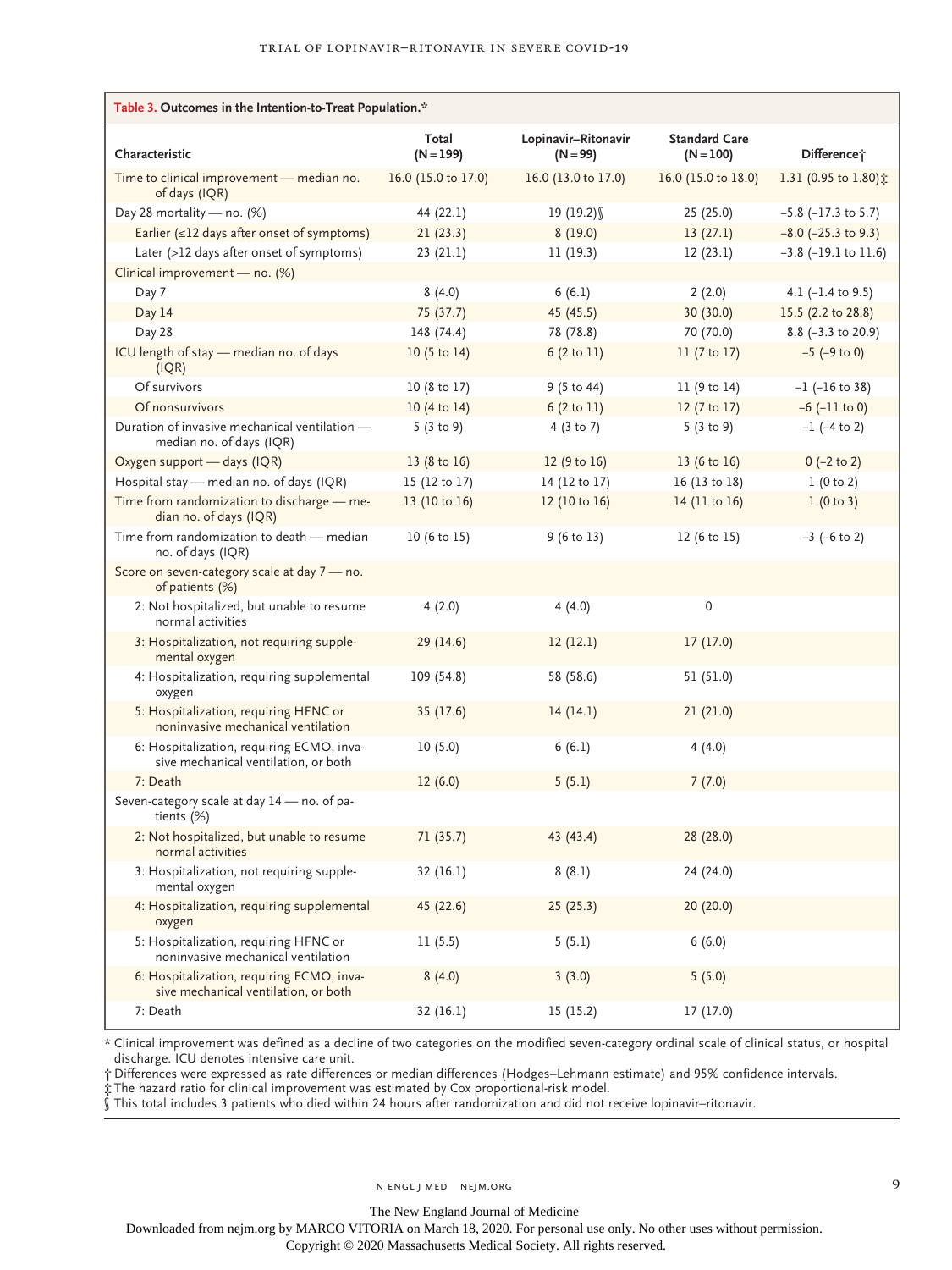| Table 3. Outcomes in the Intention-to-Treat Population.*                          |                      |                                   |                                     |                              |  |
|-----------------------------------------------------------------------------------|----------------------|-----------------------------------|-------------------------------------|------------------------------|--|
| Characteristic                                                                    | Total<br>$(N = 199)$ | Lopinavir-Ritonavir<br>$(N = 99)$ | <b>Standard Care</b><br>$(N = 100)$ | Difference;                  |  |
| Time to clinical improvement - median no.<br>of days (IQR)                        | 16.0 (15.0 to 17.0)  | 16.0 (13.0 to 17.0)               | 16.0 (15.0 to 18.0)                 | 1.31 (0.95 to 1.80) ±        |  |
| Day 28 mortality - no. (%)                                                        | 44 (22.1)            | 19 (19.2) \                       | 25(25.0)                            | $-5.8$ ( $-17.3$ to 5.7)     |  |
| Earlier $(\leq 12 \text{ days after onset of symptoms})$                          | 21(23.3)             | 8(19.0)                           | 13(27.1)                            | $-8.0$ ( $-25.3$ to 9.3)     |  |
| Later (>12 days after onset of symptoms)                                          | 23(21.1)             | 11(19.3)                          | 12(23.1)                            | $-3.8$ ( $-19.1$ to $11.6$ ) |  |
| Clinical improvement - no. (%)                                                    |                      |                                   |                                     |                              |  |
| Day 7                                                                             | 8(4.0)               | 6(6.1)                            | 2(2.0)                              | 4.1 $(-1.4 \text{ to } 9.5)$ |  |
| Day 14                                                                            | 75 (37.7)            | 45 (45.5)                         | 30 (30.0)                           | 15.5 (2.2 to 28.8)           |  |
| Day 28                                                                            | 148 (74.4)           | 78 (78.8)                         | 70 (70.0)                           | 8.8 (-3.3 to 20.9)           |  |
| ICU length of stay - median no. of days<br>(IQR)                                  | 10(5 to 14)          | 6 (2 to 11)                       | 11(7 to 17)                         | $-5$ ( $-9$ to 0)            |  |
| Of survivors                                                                      | 10 (8 to 17)         | 9 (5 to 44)                       | 11 (9 to 14)                        | $-1$ ( $-16$ to 38)          |  |
| Of nonsurvivors                                                                   | 10 (4 to 14)         | 6 (2 to 11)                       | 12 (7 to 17)                        | $-6$ ( $-11$ to 0)           |  |
| Duration of invasive mechanical ventilation -<br>median no. of days (IQR)         | 5(3 to 9)            | 4 $(3 to 7)$                      | 5(3 to 9)                           | $-1$ (-4 to 2)               |  |
| Oxygen support - days (IQR)                                                       | 13 (8 to 16)         | 12 (9 to 16)                      | 13 (6 to 16)                        | $0$ (-2 to 2)                |  |
| Hospital stay - median no. of days (IQR)                                          | 15 (12 to 17)        | 14 (12 to 17)                     | 16 (13 to 18)                       | 1(0 to 2)                    |  |
| Time from randomization to discharge - me-<br>dian no. of days (IQR)              | 13 (10 to 16)        | 12 (10 to 16)                     | 14 (11 to 16)                       | 1(0 to 3)                    |  |
| Time from randomization to death - median<br>no. of days (IQR)                    | 10 (6 to 15)         | $9(6 \text{ to } 13)$             | 12 (6 to 15)                        | $-3$ (-6 to 2)               |  |
| Score on seven-category scale at day 7 - no.<br>of patients (%)                   |                      |                                   |                                     |                              |  |
| 2: Not hospitalized, but unable to resume<br>normal activities                    | 4(2.0)               | 4(4.0)                            | 0                                   |                              |  |
| 3: Hospitalization, not requiring supple-<br>mental oxygen                        | 29(14.6)             | 12(12.1)                          | 17(17.0)                            |                              |  |
| 4: Hospitalization, requiring supplemental<br>oxygen                              | 109 (54.8)           | 58 (58.6)                         | 51 (51.0)                           |                              |  |
| 5: Hospitalization, requiring HFNC or<br>noninvasive mechanical ventilation       | 35(17.6)             | 14(14.1)                          | 21(21.0)                            |                              |  |
| 6: Hospitalization, requiring ECMO, inva-<br>sive mechanical ventilation, or both | 10(5.0)              | 6(6.1)                            | 4(4.0)                              |                              |  |
| 7: Death                                                                          | 12(6.0)              | 5(5.1)                            | 7(7.0)                              |                              |  |
| Seven-category scale at day 14 - no. of pa-<br>tients $(\%)$                      |                      |                                   |                                     |                              |  |
| 2: Not hospitalized, but unable to resume<br>normal activities                    | 71 (35.7)            | 43 (43.4)                         | 28 (28.0)                           |                              |  |
| 3: Hospitalization, not requiring supple-<br>mental oxygen                        | 32(16.1)             | 8(8.1)                            | 24 (24.0)                           |                              |  |
| 4: Hospitalization, requiring supplemental<br>oxygen                              | 45 (22.6)            | 25(25.3)                          | 20 (20.0)                           |                              |  |
| 5: Hospitalization, requiring HFNC or<br>noninvasive mechanical ventilation       | 11(5.5)              | 5(5.1)                            | 6(6.0)                              |                              |  |
| 6: Hospitalization, requiring ECMO, inva-<br>sive mechanical ventilation, or both | 8(4.0)               | 3(3.0)                            | 5(5.0)                              |                              |  |
| 7: Death                                                                          | 32(16.1)             | 15(15.2)                          | 17(17.0)                            |                              |  |

\* Clinical improvement was defined as a decline of two categories on the modified seven-category ordinal scale of clinical status, or hospital discharge. ICU denotes intensive care unit.

† Differences were expressed as rate differences or median differences (Hodges–Lehmann estimate) and 95% confidence intervals.

‡ The hazard ratio for clinical improvement was estimated by Cox proportional-risk model.

§ This total includes 3 patients who died within 24 hours after randomization and did not receive lopinavir–ritonavir.

The New England Journal of Medicine

Downloaded from nejm.org by MARCO VITORIA on March 18, 2020. For personal use only. No other uses without permission.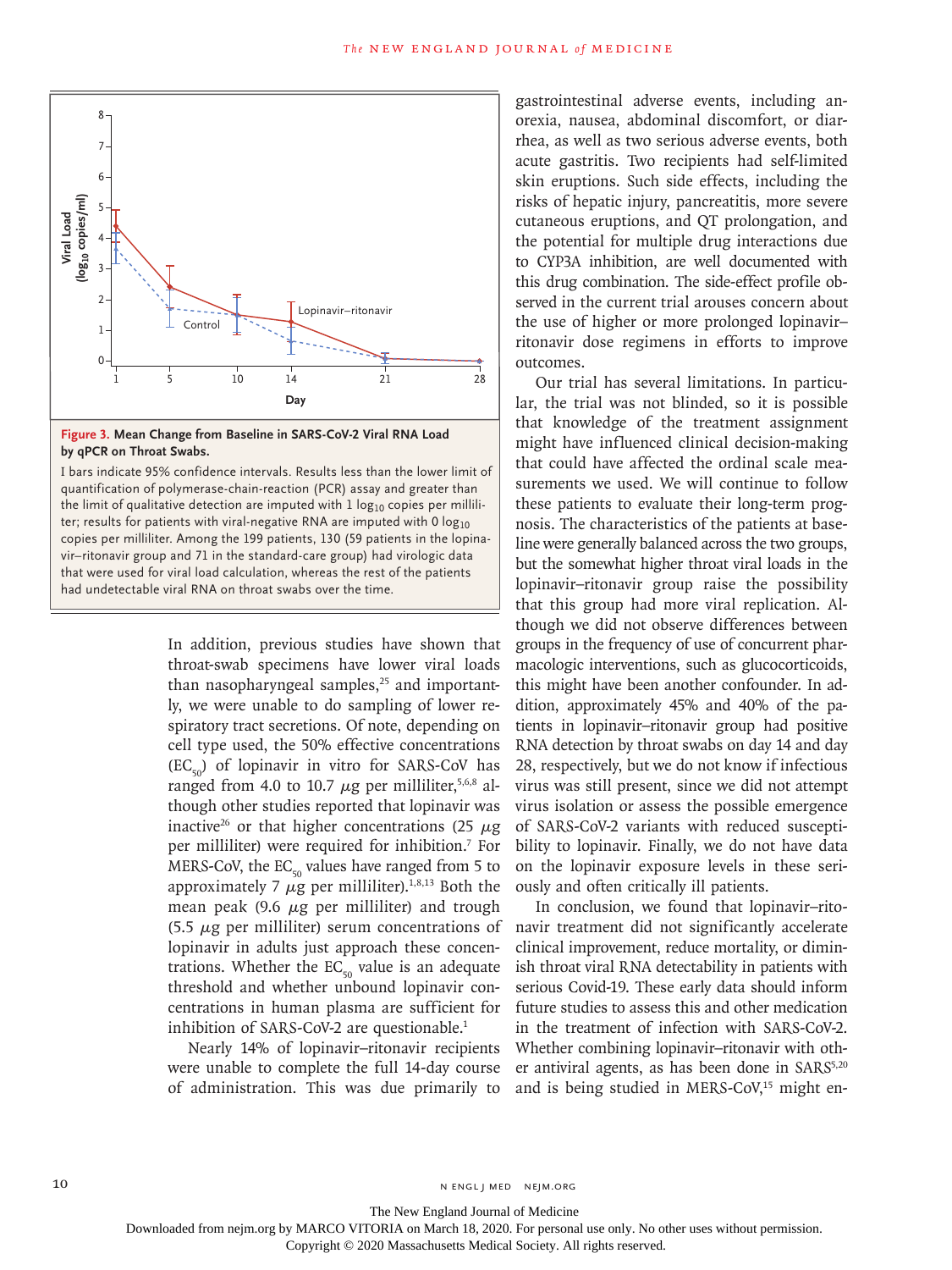

# **Figure 3. Mean Change from Baseline in SARS-CoV-2 Viral RNA Load by qPCR on Throat Swabs.**

I bars indicate 95% confidence intervals. Results less than the lower limit of quantification of polymerase-chain-reaction (PCR) assay and greater than the limit of qualitative detection are imputed with  $1 \log_{10}$  copies per milliliter; results for patients with viral-negative RNA are imputed with 0  $log_{10}$ copies per milliliter. Among the 199 patients, 130 (59 patients in the lopinavir–ritonavir group and 71 in the standard-care group) had virologic data that were used for viral load calculation, whereas the rest of the patients

> In addition, previous studies have shown that throat-swab specimens have lower viral loads than nasopharyngeal samples, $25$  and importantly, we were unable to do sampling of lower respiratory tract secretions. Of note, depending on cell type used, the 50% effective concentrations  $(EC_{\epsilon_0})$  of lopinavir in vitro for SARS-CoV has ranged from 4.0 to 10.7  $\mu$ g per milliliter,<sup>5,6,8</sup> although other studies reported that lopinavir was inactive<sup>26</sup> or that higher concentrations (25  $\mu$ g per milliliter) were required for inhibition.<sup>7</sup> For MERS-CoV, the  $EC_{50}$  values have ranged from 5 to approximately 7  $\mu$ g per milliliter).<sup>1,8,13</sup> Both the mean peak (9.6  $\mu$ g per milliliter) and trough (5.5  $\mu$ g per milliliter) serum concentrations of lopinavir in adults just approach these concentrations. Whether the  $EC_{50}$  value is an adequate threshold and whether unbound lopinavir concentrations in human plasma are sufficient for inhibition of SARS-CoV-2 are questionable.<sup>1</sup>

> Nearly 14% of lopinavir–ritonavir recipients were unable to complete the full 14-day course of administration. This was due primarily to

gastrointestinal adverse events, including anorexia, nausea, abdominal discomfort, or diarrhea, as well as two serious adverse events, both acute gastritis. Two recipients had self-limited skin eruptions. Such side effects, including the risks of hepatic injury, pancreatitis, more severe cutaneous eruptions, and QT prolongation, and the potential for multiple drug interactions due to CYP3A inhibition, are well documented with this drug combination. The side-effect profile observed in the current trial arouses concern about the use of higher or more prolonged lopinavir– ritonavir dose regimens in efforts to improve outcomes.

Our trial has several limitations. In particular, the trial was not blinded, so it is possible that knowledge of the treatment assignment might have influenced clinical decision-making that could have affected the ordinal scale measurements we used. We will continue to follow these patients to evaluate their long-term prognosis. The characteristics of the patients at baseline were generally balanced across the two groups, but the somewhat higher throat viral loads in the lopinavir–ritonavir group raise the possibility that this group had more viral replication. Although we did not observe differences between groups in the frequency of use of concurrent pharmacologic interventions, such as glucocorticoids, this might have been another confounder. In addition, approximately 45% and 40% of the patients in lopinavir–ritonavir group had positive RNA detection by throat swabs on day 14 and day 28, respectively, but we do not know if infectious virus was still present, since we did not attempt virus isolation or assess the possible emergence of SARS-CoV-2 variants with reduced susceptibility to lopinavir. Finally, we do not have data on the lopinavir exposure levels in these seriously and often critically ill patients.

In conclusion, we found that lopinavir–ritonavir treatment did not significantly accelerate clinical improvement, reduce mortality, or diminish throat viral RNA detectability in patients with serious Covid-19. These early data should inform future studies to assess this and other medication in the treatment of infection with SARS-CoV-2. Whether combining lopinavir–ritonavir with other antiviral agents, as has been done in SARS<sup>5,20</sup> and is being studied in MERS-CoV,<sup>15</sup> might en-

10 N ENGL J MED NEJM.ORG

The New England Journal of Medicine

Downloaded from nejm.org by MARCO VITORIA on March 18, 2020. For personal use only. No other uses without permission.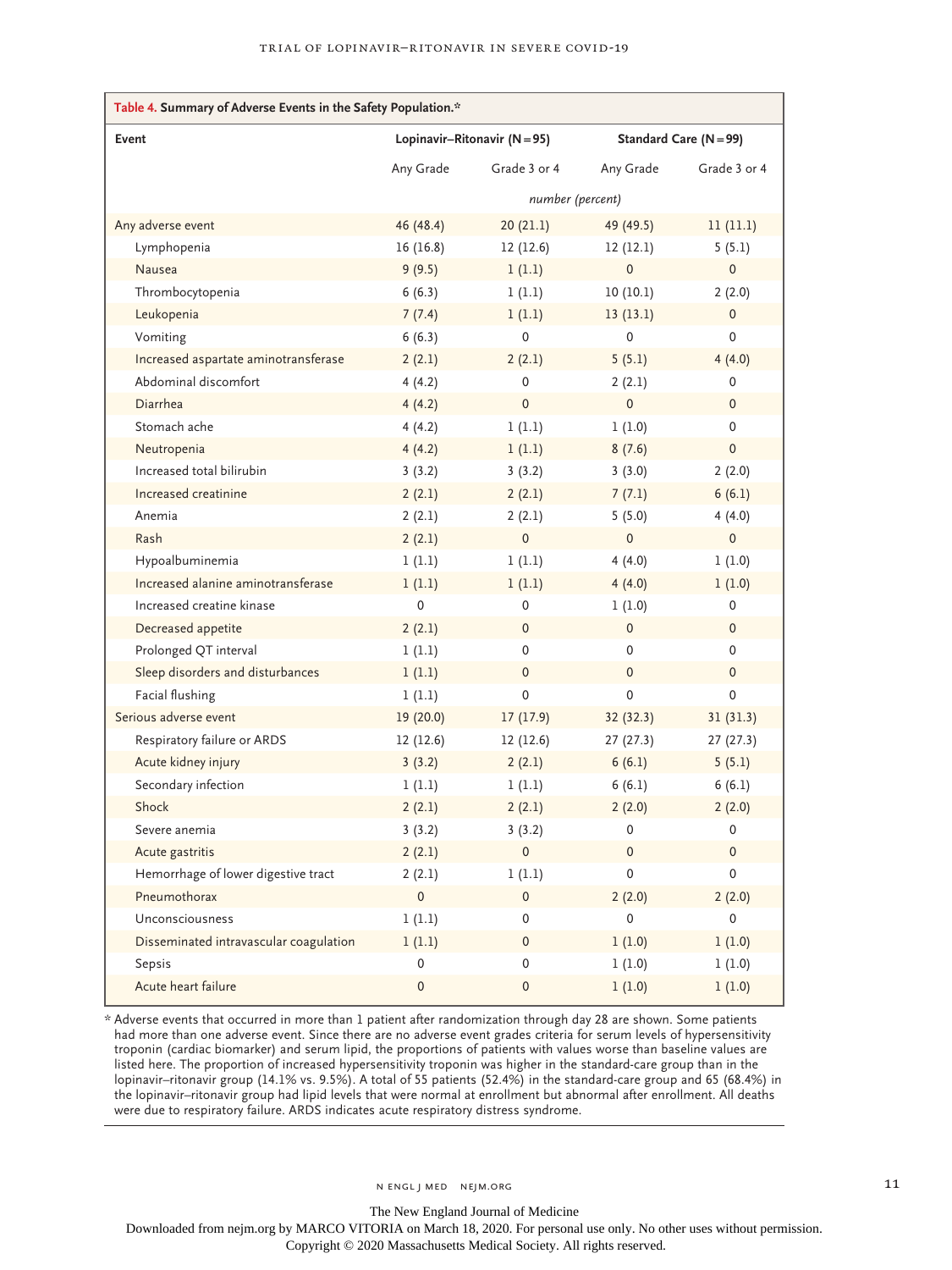| Table 4. Summary of Adverse Events in the Safety Population.* |                            |                     |                            |              |
|---------------------------------------------------------------|----------------------------|---------------------|----------------------------|--------------|
| Event                                                         | Lopinavir-Ritonavir (N=95) |                     | Standard Care ( $N = 99$ ) |              |
|                                                               | Any Grade                  | Grade 3 or 4        | Any Grade                  | Grade 3 or 4 |
|                                                               | number (percent)           |                     |                            |              |
| Any adverse event                                             | 46 (48.4)                  | 20(21.1)            | 49 (49.5)                  | 11(11.1)     |
| Lymphopenia                                                   | 16 (16.8)                  | 12(12.6)            | 12(12.1)                   | 5(5.1)       |
| <b>Nausea</b>                                                 | 9(9.5)                     | 1(1.1)              | 0                          | 0            |
| Thrombocytopenia                                              | 6(6.3)                     | 1(1.1)              | 10(10.1)                   | 2(2.0)       |
| Leukopenia                                                    | 7(7.4)                     | 1(1.1)              | 13(13.1)                   | $\mathbf 0$  |
| Vomiting                                                      | 6(6.3)                     | 0                   | $\mathbf 0$                | 0            |
| Increased aspartate aminotransferase                          | 2(2.1)                     | 2(2.1)              | 5(5.1)                     | 4(4.0)       |
| Abdominal discomfort                                          | 4(4.2)                     | $\mathbf 0$         | 2(2.1)                     | 0            |
| Diarrhea                                                      | 4(4.2)                     | $\mathbf 0$         | $\mathbf 0$                | $\mathbf{0}$ |
| Stomach ache                                                  | 4(4.2)                     | 1(1.1)              | 1(1.0)                     | 0            |
| Neutropenia                                                   | 4(4.2)                     | 1(1.1)              | 8(7.6)                     | $\mathbf 0$  |
| Increased total bilirubin                                     | 3(3.2)                     | 3(3.2)              | 3(3.0)                     | 2(2.0)       |
| Increased creatinine                                          | 2(2.1)                     | 2(2.1)              | 7(7.1)                     | 6(6.1)       |
| Anemia                                                        | 2(2.1)                     | 2(2.1)              | 5(5.0)                     | 4(4.0)       |
| Rash                                                          | 2(2.1)                     | $\mathbf 0$         | $\mathbf 0$                | $\mathbf 0$  |
| Hypoalbuminemia                                               | 1(1.1)                     | 1(1.1)              | 4(4.0)                     | 1(1.0)       |
| Increased alanine aminotransferase                            | 1(1.1)                     | 1(1.1)              | 4(4.0)                     | 1(1.0)       |
| Increased creatine kinase                                     | 0                          | 0                   | 1(1.0)                     | 0            |
| Decreased appetite                                            | 2(2.1)                     | $\mathbf 0$         | $\pmb{0}$                  | $\mathbf{0}$ |
| Prolonged QT interval                                         | 1(1.1)                     | $\mathbf 0$         | 0                          | 0            |
| Sleep disorders and disturbances                              | 1(1.1)                     | $\pmb{0}$           | $\mathsf{O}\xspace$        | $\mathbf 0$  |
| Facial flushing                                               | 1(1.1)                     | $\mathbf 0$         | 0                          | 0            |
| Serious adverse event                                         | 19 (20.0)                  | 17(17.9)            | 32 (32.3)                  | 31(31.3)     |
| Respiratory failure or ARDS                                   | 12 (12.6)                  | 12(12.6)            | 27(27.3)                   | 27(27.3)     |
| Acute kidney injury                                           | 3(3.2)                     | 2(2.1)              | 6(6.1)                     | 5(5.1)       |
| Secondary infection                                           | 1(1.1)                     | 1(1.1)              | 6(6.1)                     | 6(6.1)       |
| Shock                                                         | 2(2.1)                     | 2(2.1)              | 2(2.0)                     | 2(2.0)       |
| Severe anemia                                                 | 3(3.2)                     | 3(3.2)              | 0                          | 0            |
| Acute gastritis                                               | 2(2.1)                     | $\mathsf{O}\xspace$ | $\pmb{0}$                  | $\mathbf 0$  |
| Hemorrhage of lower digestive tract                           | 2(2.1)                     | 1(1.1)              | 0                          | 0            |
| Pneumothorax                                                  | $\pmb{0}$                  | 0                   | 2(2.0)                     | 2(2.0)       |
| Unconsciousness                                               | 1(1.1)                     | 0                   | $\mathsf 0$                | 0            |
| Disseminated intravascular coagulation                        | 1(1.1)                     | $\pmb{0}$           | 1(1.0)                     | 1(1.0)       |
| Sepsis                                                        | 0                          | $\pmb{0}$           | 1(1.0)                     | 1(1.0)       |
| Acute heart failure                                           | $\pmb{0}$                  | $\pmb{0}$           | 1(1.0)                     | 1(1.0)       |

\* Adverse events that occurred in more than 1 patient after randomization through day 28 are shown. Some patients had more than one adverse event. Since there are no adverse event grades criteria for serum levels of hypersensitivity troponin (cardiac biomarker) and serum lipid, the proportions of patients with values worse than baseline values are listed here. The proportion of increased hypersensitivity troponin was higher in the standard-care group than in the lopinavir–ritonavir group (14.1% vs. 9.5%). A total of 55 patients (52.4%) in the standard-care group and 65 (68.4%) in the lopinavir–ritonavir group had lipid levels that were normal at enrollment but abnormal after enrollment. All deaths were due to respiratory failure. ARDS indicates acute respiratory distress syndrome.

n engl j med nejm.org 11

The New England Journal of Medicine

Downloaded from nejm.org by MARCO VITORIA on March 18, 2020. For personal use only. No other uses without permission.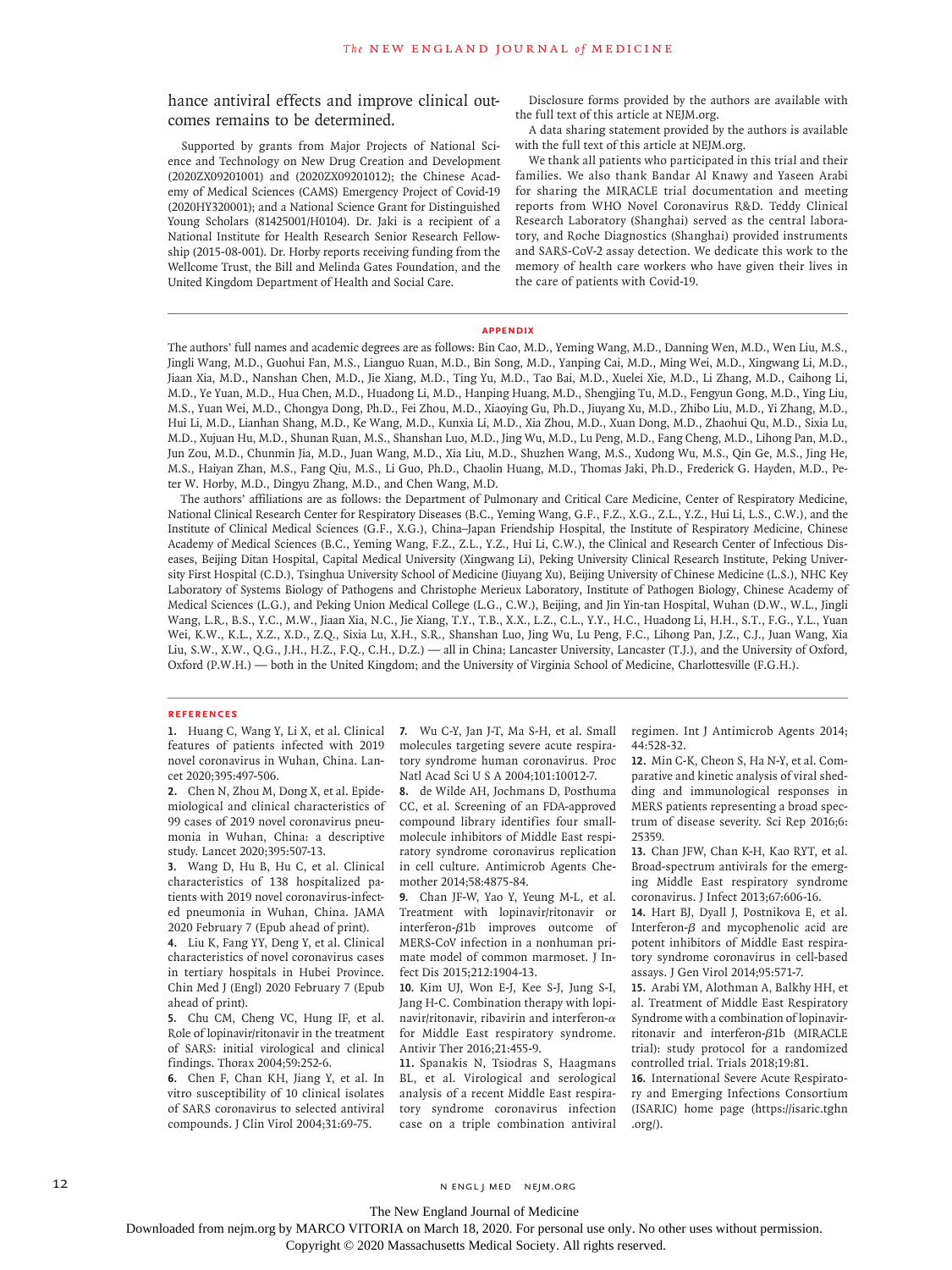# hance antiviral effects and improve clinical outcomes remains to be determined.

Supported by grants from Major Projects of National Science and Technology on New Drug Creation and Development (2020ZX09201001) and (2020ZX09201012); the Chinese Academy of Medical Sciences (CAMS) Emergency Project of Covid-19 (2020HY320001); and a National Science Grant for Distinguished Young Scholars (81425001/H0104). Dr. Jaki is a recipient of a National Institute for Health Research Senior Research Fellowship (2015-08-001). Dr. Horby reports receiving funding from the Wellcome Trust, the Bill and Melinda Gates Foundation, and the United Kingdom Department of Health and Social Care.

Disclosure forms provided by the authors are available with the full text of this article at NEJM.org.

A data sharing statement provided by the authors is available with the full text of this article at NEJM.org.

We thank all patients who participated in this trial and their families. We also thank Bandar Al Knawy and Yaseen Arabi for sharing the MIRACLE trial documentation and meeting reports from WHO Novel Coronavirus R&D. Teddy Clinical Research Laboratory (Shanghai) served as the central laboratory, and Roche Diagnostics (Shanghai) provided instruments and SARS-CoV-2 assay detection. We dedicate this work to the memory of health care workers who have given their lives in the care of patients with Covid-19.

#### **Appendix**

The authors' full names and academic degrees are as follows: Bin Cao, M.D., Yeming Wang, M.D., Danning Wen, M.D., Wen Liu, M.S., Jingli Wang, M.D., Guohui Fan, M.S., Lianguo Ruan, M.D., Bin Song, M.D., Yanping Cai, M.D., Ming Wei, M.D., Xingwang Li, M.D., Jiaan Xia, M.D., Nanshan Chen, M.D., Jie Xiang, M.D., Ting Yu, M.D., Tao Bai, M.D., Xuelei Xie, M.D., Li Zhang, M.D., Caihong Li, M.D., Ye Yuan, M.D., Hua Chen, M.D., Huadong Li, M.D., Hanping Huang, M.D., Shengjing Tu, M.D., Fengyun Gong, M.D., Ying Liu, M.S., Yuan Wei, M.D., Chongya Dong, Ph.D., Fei Zhou, M.D., Xiaoying Gu, Ph.D., Jiuyang Xu, M.D., Zhibo Liu, M.D., Yi Zhang, M.D., Hui Li, M.D., Lianhan Shang, M.D., Ke Wang, M.D., Kunxia Li, M.D., Xia Zhou, M.D., Xuan Dong, M.D., Zhaohui Qu, M.D., Sixia Lu, M.D., Xujuan Hu, M.D., Shunan Ruan, M.S., Shanshan Luo, M.D., Jing Wu, M.D., Lu Peng, M.D., Fang Cheng, M.D., Lihong Pan, M.D., Jun Zou, M.D., Chunmin Jia, M.D., Juan Wang, M.D., Xia Liu, M.D., Shuzhen Wang, M.S., Xudong Wu, M.S., Qin Ge, M.S., Jing He, M.S., Haiyan Zhan, M.S., Fang Qiu, M.S., Li Guo, Ph.D., Chaolin Huang, M.D., Thomas Jaki, Ph.D., Frederick G. Hayden, M.D., Peter W. Horby, M.D., Dingyu Zhang, M.D., and Chen Wang, M.D.

The authors' affiliations are as follows: the Department of Pulmonary and Critical Care Medicine, Center of Respiratory Medicine, National Clinical Research Center for Respiratory Diseases (B.C., Yeming Wang, G.F., F.Z., X.G., Z.L., Y.Z., Hui Li, L.S., C.W.), and the Institute of Clinical Medical Sciences (G.F., X.G.), China–Japan Friendship Hospital, the Institute of Respiratory Medicine, Chinese Academy of Medical Sciences (B.C., Yeming Wang, F.Z., Z.L., Y.Z., Hui Li, C.W.), the Clinical and Research Center of Infectious Diseases, Beijing Ditan Hospital, Capital Medical University (Xingwang Li), Peking University Clinical Research Institute, Peking University First Hospital (C.D.), Tsinghua University School of Medicine (Jiuyang Xu), Beijing University of Chinese Medicine (L.S.), NHC Key Laboratory of Systems Biology of Pathogens and Christophe Merieux Laboratory, Institute of Pathogen Biology, Chinese Academy of Medical Sciences (L.G.), and Peking Union Medical College (L.G., C.W.), Beijing, and Jin Yin-tan Hospital, Wuhan (D.W., W.L., Jingli Wang, L.R., B.S., Y.C., M.W., Jiaan Xia, N.C., Jie Xiang, T.Y., T.B., X.X., L.Z., C.L., Y.Y., H.C., Huadong Li, H.H., S.T., F.G., Y.L., Yuan Wei, K.W., K.L., X.Z., X.D., Z.Q., Sixia Lu, X.H., S.R., Shanshan Luo, Jing Wu, Lu Peng, F.C., Lihong Pan, J.Z., C.J., Juan Wang, Xia Liu, S.W., X.W., Q.G., J.H., H.Z., F.Q., C.H., D.Z.) — all in China; Lancaster University, Lancaster (T.J.), and the University of Oxford, Oxford (P.W.H.) — both in the United Kingdom; and the University of Virginia School of Medicine, Charlottesville (F.G.H.).

#### **References**

**1.** Huang C, Wang Y, Li X, et al. Clinical features of patients infected with 2019 novel coronavirus in Wuhan, China. Lancet 2020;395:497-506.

**2.** Chen N, Zhou M, Dong X, et al. Epidemiological and clinical characteristics of 99 cases of 2019 novel coronavirus pneumonia in Wuhan, China: a descriptive study. Lancet 2020;395:507-13.

**3.** Wang D, Hu B, Hu C, et al. Clinical characteristics of 138 hospitalized patients with 2019 novel coronavirus-infected pneumonia in Wuhan, China. JAMA 2020 February 7 (Epub ahead of print).

**4.** Liu K, Fang YY, Deng Y, et al. Clinical characteristics of novel coronavirus cases in tertiary hospitals in Hubei Province. Chin Med J (Engl) 2020 February 7 (Epub ahead of print).

**5.** Chu CM, Cheng VC, Hung IF, et al. Role of lopinavir/ritonavir in the treatment of SARS: initial virological and clinical findings. Thorax 2004;59:252-6.

**6.** Chen F, Chan KH, Jiang Y, et al. In vitro susceptibility of 10 clinical isolates of SARS coronavirus to selected antiviral compounds. J Clin Virol 2004;31:69-75.

**7.** Wu C-Y, Jan J-T, Ma S-H, et al. Small molecules targeting severe acute respiratory syndrome human coronavirus. Proc Natl Acad Sci U S A 2004;101:10012-7.

**8.** de Wilde AH, Jochmans D, Posthuma CC, et al. Screening of an FDA-approved compound library identifies four smallmolecule inhibitors of Middle East respiratory syndrome coronavirus replication in cell culture. Antimicrob Agents Chemother 2014;58:4875-84.

**9.** Chan JF-W, Yao Y, Yeung M-L, et al. Treatment with lopinavir/ritonavir or interferon-β1b improves outcome of MERS-CoV infection in a nonhuman primate model of common marmoset. J Infect Dis 2015;212:1904-13.

**10.** Kim UJ, Won E-J, Kee S-J, Jung S-I, Jang H-C. Combination therapy with lopinavir/ritonavir, ribavirin and interferon-α for Middle East respiratory syndrome. Antivir Ther 2016;21:455-9.

**11.** Spanakis N, Tsiodras S, Haagmans BL, et al. Virological and serological analysis of a recent Middle East respiratory syndrome coronavirus infection case on a triple combination antiviral regimen. Int J Antimicrob Agents 2014; 44:528-32.

**12.** Min C-K, Cheon S, Ha N-Y, et al. Comparative and kinetic analysis of viral shedding and immunological responses in MERS patients representing a broad spectrum of disease severity. Sci Rep 2016;6: 25359.

**13.** Chan JFW, Chan K-H, Kao RYT, et al. Broad-spectrum antivirals for the emerging Middle East respiratory syndrome coronavirus. J Infect 2013;67:606-16.

**14.** Hart BJ, Dyall J, Postnikova E, et al. Interferon-β and mycophenolic acid are potent inhibitors of Middle East respiratory syndrome coronavirus in cell-based assays. J Gen Virol 2014;95:571-7.

**15.** Arabi YM, Alothman A, Balkhy HH, et al. Treatment of Middle East Respiratory Syndrome with a combination of lopinavirritonavir and interferon-β1b (MIRACLE trial): study protocol for a randomized controlled trial. Trials 2018;19:81.

**16.** International Severe Acute Respiratory and Emerging Infections Consortium (ISARIC) home page (https://isaric.tghn .org/).

12 N ENGL J MED NEIM.ORG